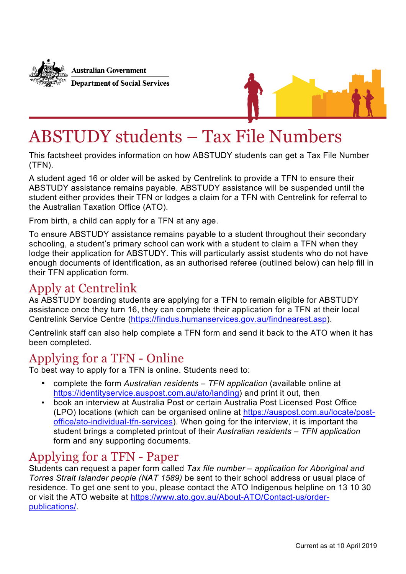

**Australian Government Department of Social Services** 



# ABSTUDY students – Tax File Numbers

This factsheet provides information on how ABSTUDY students can get a Tax File Number (TFN).

A student aged 16 or older will be asked by Centrelink to provide a TFN to ensure their ABSTUDY assistance remains payable. ABSTUDY assistance will be suspended until the student either provides their TFN or lodges a claim for a TFN with Centrelink for referral to the Australian Taxation Office (ATO).

From birth, a child can apply for a TFN at any age.

To ensure ABSTUDY assistance remains payable to a student throughout their secondary schooling, a student's primary school can work with a student to claim a TFN when they lodge their application for ABSTUDY. This will particularly assist students who do not have enough documents of identification, as an authorised referee (outlined below) can help fill in their TFN application form.

## Apply at Centrelink

As ABSTUDY boarding students are applying for a TFN to remain eligible for ABSTUDY assistance once they turn 16, they can complete their application for a TFN at their local Centrelink Service Centre (https://findus.humanservices.gov.au/findnearest.asp).

Centrelink staff can also help complete a TFN form and send it back to the ATO when it has been completed.

## Applying for a TFN - Online

To best way to apply for a TFN is online. Students need to:

- complete the form *Australian residents TFN application* (available online at https://identityservice.auspost.com.au/ato/landing) and print it out, then
- book an interview at Australia Post or certain Australia Post Licensed Post Office (LPO) locations (which can be organised online at https://auspost.com.au/locate/postoffice/ato-individual-tfn-services). When going for the interview, it is important the student brings a completed printout of their *Australian residents – TFN application* form and any supporting documents.

## Applying for a TFN - Paper

Students can request a paper form called *Tax file number – application for Aboriginal and Torres Strait Islander people (NAT 1589)* be sent to their school address or usual place of residence. To get one sent to you, please contact the ATO Indigenous helpline on 13 10 30 or visit the ATO website at https://www.ato.gov.au/About-ATO/Contact-us/orderpublications/.